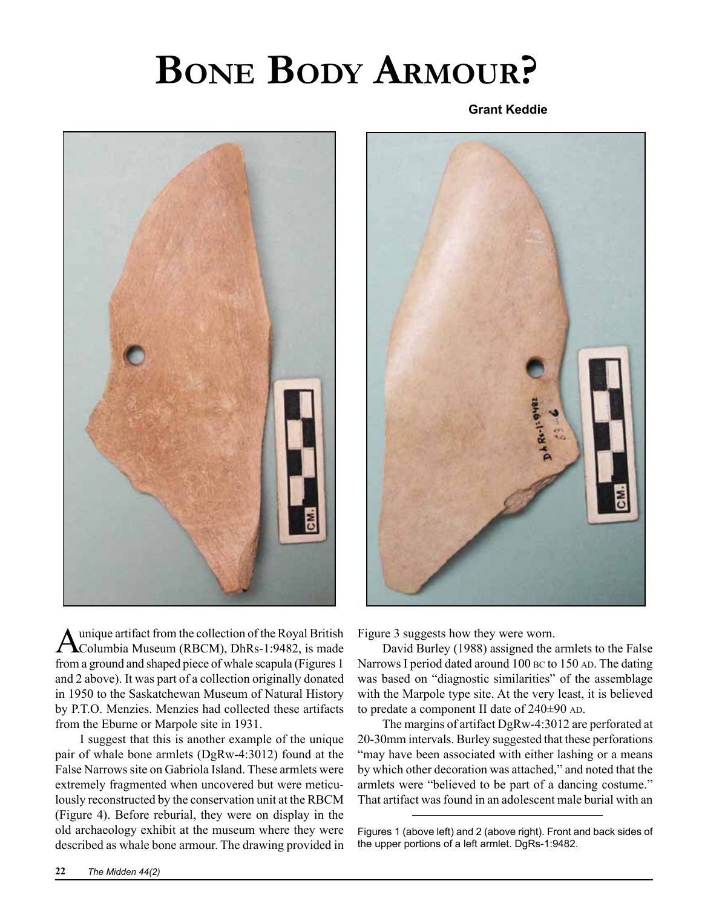## **Bone Body Armour?**

**Grant Keddie**





A unique artifact from the collection of the Royal British<br>Columbia Museum (RBCM), DhRs-1:9482, is made from a ground and shaped piece of whale scapula (Figures 1 and 2 above). It was part of a collection originally donated in 1950 to the Saskatchewan Museum of Natural History by P.T.O. Menzies. Menzies had collected these artifacts from the Eburne or Marpole site in 1931.

I suggest that this is another example of the unique pair of whale bone armlets (DgRw-4:3012) found at the False Narrows site on Gabriola Island. These armlets were extremely fragmented when uncovered but were meticulously reconstructed by the conservation unit at the RBCM (Figure 4). Before reburial, they were on display in the old archaeology exhibit at the museum where they were described as whale bone armour. The drawing provided in

Figure 3 suggests how they were worn.

David Burley (1988) assigned the armlets to the False Narrows I period dated around 100 BC to 150 AD. The dating was based on "diagnostic similarities" of the assemblage with the Marpole type site. At the very least, it is believed to predate a component II date of  $240\pm90$  AD.

The margins of artifact DgRw-4:3012 are perforated at 20-30mm intervals. Burley suggested that these perforations "may have been associated with either lashing or a means by which other decoration was attached," and noted that the armlets were "believed to be part of a dancing costume." That artifact was found in an adolescent male burial with an

Figures 1 (above left) and 2 (above right). Front and back sides of the upper portions of a left armlet. DgRs-1:9482.